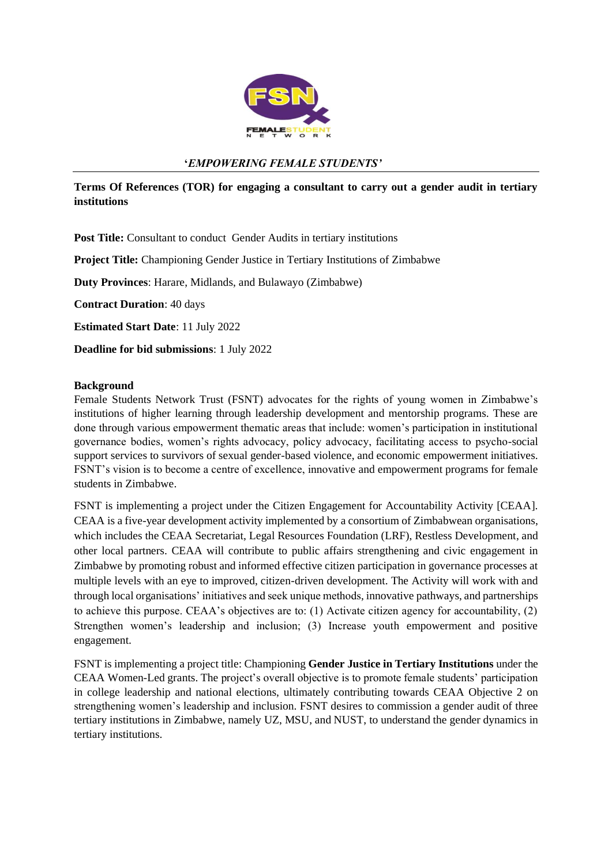

### **'***EMPOWERING FEMALE STUDENTS'*

**Terms Of References (TOR) for engaging a consultant to carry out a gender audit in tertiary institutions** 

Post Title: Consultant to conduct Gender Audits in tertiary institutions

**Project Title:** Championing Gender Justice in Tertiary Institutions of Zimbabwe

**Duty Provinces**: Harare, Midlands, and Bulawayo (Zimbabwe)

**Contract Duration**: 40 days

**Estimated Start Date**: 11 July 2022

**Deadline for bid submissions**: 1 July 2022

#### **Background**

Female Students Network Trust (FSNT) advocates for the rights of young women in Zimbabwe's institutions of higher learning through leadership development and mentorship programs. These are done through various empowerment thematic areas that include: women's participation in institutional governance bodies, women's rights advocacy, policy advocacy, facilitating access to psycho-social support services to survivors of sexual gender-based violence, and economic empowerment initiatives. FSNT's vision is to become a centre of excellence, innovative and empowerment programs for female students in Zimbabwe.

FSNT is implementing a project under the Citizen Engagement for Accountability Activity [CEAA]. CEAA is a five-year development activity implemented by a consortium of Zimbabwean organisations, which includes the CEAA Secretariat, Legal Resources Foundation (LRF), Restless Development, and other local partners. CEAA will contribute to public affairs strengthening and civic engagement in Zimbabwe by promoting robust and informed effective citizen participation in governance processes at multiple levels with an eye to improved, citizen-driven development. The Activity will work with and through local organisations' initiatives and seek unique methods, innovative pathways, and partnerships to achieve this purpose. CEAA's objectives are to: (1) Activate citizen agency for accountability, (2) Strengthen women's leadership and inclusion; (3) Increase youth empowerment and positive engagement.

FSNT is implementing a project title: Championing **Gender Justice in Tertiary Institutions** under the CEAA Women-Led grants. The project's overall objective is to promote female students' participation in college leadership and national elections, ultimately contributing towards CEAA Objective 2 on strengthening women's leadership and inclusion. FSNT desires to commission a gender audit of three tertiary institutions in Zimbabwe, namely UZ, MSU, and NUST, to understand the gender dynamics in tertiary institutions.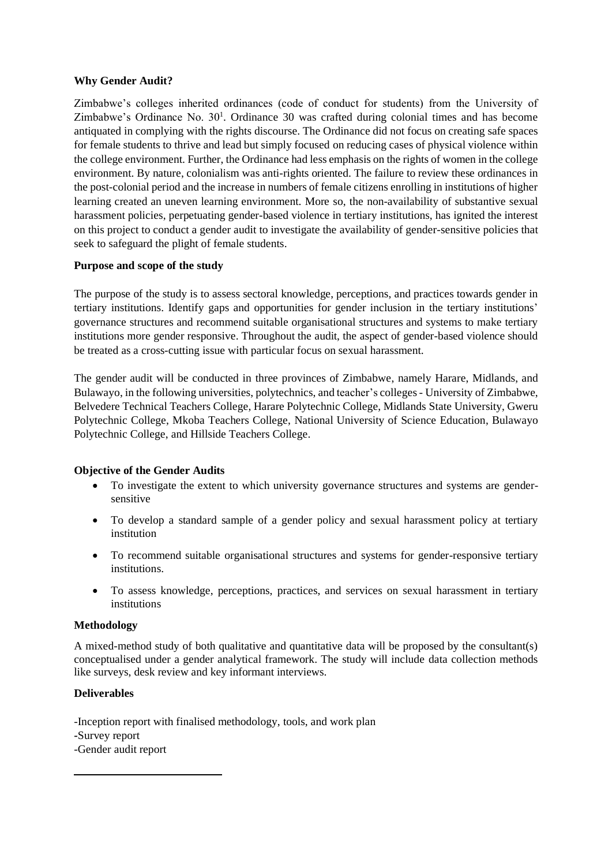### **Why Gender Audit?**

Zimbabwe's colleges inherited ordinances (code of conduct for students) from the University of Zimbabwe's Ordinance No.  $30<sup>1</sup>$ . Ordinance 30 was crafted during colonial times and has become antiquated in complying with the rights discourse. The Ordinance did not focus on creating safe spaces for female students to thrive and lead but simply focused on reducing cases of physical violence within the college environment. Further, the Ordinance had less emphasis on the rights of women in the college environment. By nature, colonialism was anti-rights oriented. The failure to review these ordinances in the post-colonial period and the increase in numbers of female citizens enrolling in institutions of higher learning created an uneven learning environment. More so, the non-availability of substantive sexual harassment policies, perpetuating gender-based violence in tertiary institutions, has ignited the interest on this project to conduct a gender audit to investigate the availability of gender-sensitive policies that seek to safeguard the plight of female students.

### **Purpose and scope of the study**

The purpose of the study is to assess sectoral knowledge, perceptions, and practices towards gender in tertiary institutions. Identify gaps and opportunities for gender inclusion in the tertiary institutions' governance structures and recommend suitable organisational structures and systems to make tertiary institutions more gender responsive. Throughout the audit, the aspect of gender-based violence should be treated as a cross-cutting issue with particular focus on sexual harassment.

The gender audit will be conducted in three provinces of Zimbabwe, namely Harare, Midlands, and Bulawayo, in the following universities, polytechnics, and teacher's colleges- University of Zimbabwe, Belvedere Technical Teachers College, Harare Polytechnic College, Midlands State University, Gweru Polytechnic College, Mkoba Teachers College, National University of Science Education, Bulawayo Polytechnic College, and Hillside Teachers College.

### **Objective of the Gender Audits**

- To investigate the extent to which university governance structures and systems are gendersensitive
- To develop a standard sample of a gender policy and sexual harassment policy at tertiary institution
- To recommend suitable organisational structures and systems for gender-responsive tertiary institutions.
- To assess knowledge, perceptions, practices, and services on sexual harassment in tertiary institutions

### **Methodology**

A mixed-method study of both qualitative and quantitative data will be proposed by the consultant(s) conceptualised under a gender analytical framework. The study will include data collection methods like surveys, desk review and key informant interviews.

### **Deliverables**

-Inception report with finalised methodology, tools, and work plan

**-**Survey report

-Gender audit report